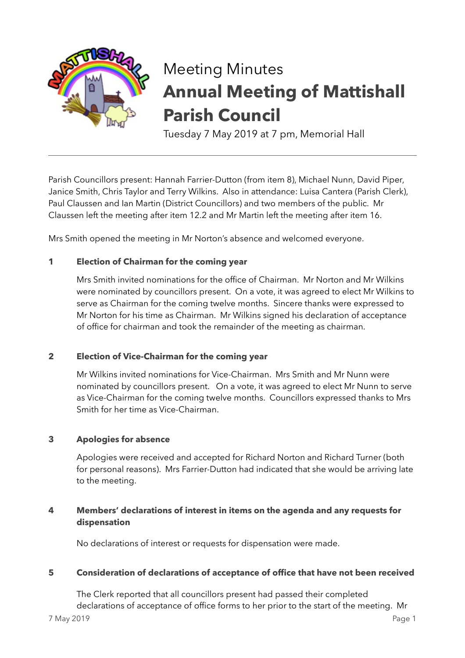

# Meeting Minutes **Annual Meeting of Mattishall Parish Council**

Tuesday 7 May 2019 at 7 pm, Memorial Hall

Parish Councillors present: Hannah Farrier-Dutton (from item 8), Michael Nunn, David Piper, Janice Smith, Chris Taylor and Terry Wilkins. Also in attendance: Luisa Cantera (Parish Clerk), Paul Claussen and Ian Martin (District Councillors) and two members of the public. Mr Claussen left the meeting after item 12.2 and Mr Martin left the meeting after item 16.

Mrs Smith opened the meeting in Mr Norton's absence and welcomed everyone.

# **1 Election of Chairman for the coming year**

Mrs Smith invited nominations for the office of Chairman. Mr Norton and Mr Wilkins were nominated by councillors present. On a vote, it was agreed to elect Mr Wilkins to serve as Chairman for the coming twelve months. Sincere thanks were expressed to Mr Norton for his time as Chairman. Mr Wilkins signed his declaration of acceptance of office for chairman and took the remainder of the meeting as chairman.

## **2 Election of Vice-Chairman for the coming year**

Mr Wilkins invited nominations for Vice-Chairman. Mrs Smith and Mr Nunn were nominated by councillors present. On a vote, it was agreed to elect Mr Nunn to serve as Vice-Chairman for the coming twelve months. Councillors expressed thanks to Mrs Smith for her time as Vice-Chairman.

## **3 Apologies for absence**

 Apologies were received and accepted for Richard Norton and Richard Turner (both for personal reasons). Mrs Farrier-Dutton had indicated that she would be arriving late to the meeting.

# **4 Members' declarations of interest in items on the agenda and any requests for dispensation**

No declarations of interest or requests for dispensation were made.

## **5 Consideration of declarations of acceptance of office that have not been received**

The Clerk reported that all councillors present had passed their completed declarations of acceptance of office forms to her prior to the start of the meeting. Mr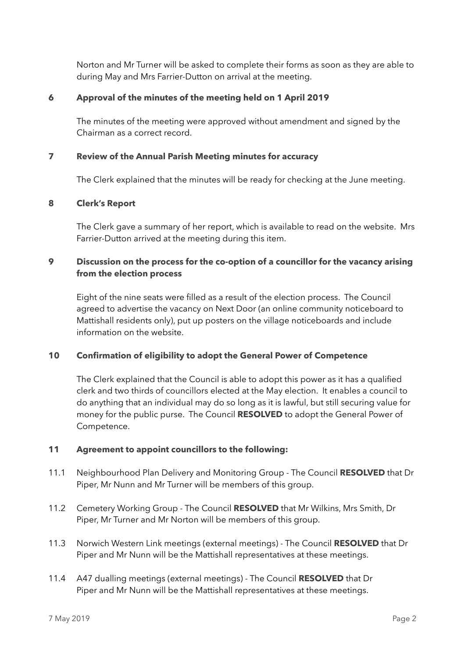Norton and Mr Turner will be asked to complete their forms as soon as they are able to during May and Mrs Farrier-Dutton on arrival at the meeting.

# **6 Approval of the minutes of the meeting held on 1 April 2019**

The minutes of the meeting were approved without amendment and signed by the Chairman as a correct record.

## **7 Review of the Annual Parish Meeting minutes for accuracy**

The Clerk explained that the minutes will be ready for checking at the June meeting.

## **8 Clerk's Report**

The Clerk gave a summary of her report, which is available to read on the website. Mrs Farrier-Dutton arrived at the meeting during this item.

# **9 Discussion on the process for the co-option of a councillor for the vacancy arising from the election process**

Eight of the nine seats were filled as a result of the election process. The Council agreed to advertise the vacancy on Next Door (an online community noticeboard to Mattishall residents only), put up posters on the village noticeboards and include information on the website.

## **10 Confirmation of eligibility to adopt the General Power of Competence**

The Clerk explained that the Council is able to adopt this power as it has a qualified clerk and two thirds of councillors elected at the May election. It enables a council to do anything that an individual may do so long as it is lawful, but still securing value for money for the public purse. The Council **RESOLVED** to adopt the General Power of Competence.

## **11 Agreement to appoint councillors to the following:**

- 11.1 Neighbourhood Plan Delivery and Monitoring Group The Council **RESOLVED** that Dr Piper, Mr Nunn and Mr Turner will be members of this group.
- 11.2 Cemetery Working Group The Council **RESOLVED** that Mr Wilkins, Mrs Smith, Dr Piper, Mr Turner and Mr Norton will be members of this group.
- 11.3 Norwich Western Link meetings (external meetings) The Council **RESOLVED** that Dr Piper and Mr Nunn will be the Mattishall representatives at these meetings.
- 11.4 A47 dualling meetings (external meetings) The Council **RESOLVED** that Dr Piper and Mr Nunn will be the Mattishall representatives at these meetings.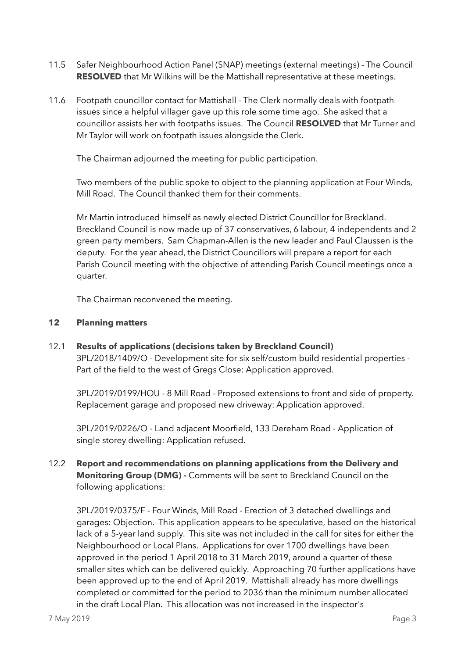- 11.5 Safer Neighbourhood Action Panel (SNAP) meetings (external meetings) The Council **RESOLVED** that Mr Wilkins will be the Mattishall representative at these meetings.
- 11.6 Footpath councillor contact for Mattishall The Clerk normally deals with footpath issues since a helpful villager gave up this role some time ago. She asked that a councillor assists her with footpaths issues. The Council **RESOLVED** that Mr Turner and Mr Taylor will work on footpath issues alongside the Clerk.

The Chairman adjourned the meeting for public participation.

Two members of the public spoke to object to the planning application at Four Winds, Mill Road. The Council thanked them for their comments.

Mr Martin introduced himself as newly elected District Councillor for Breckland. Breckland Council is now made up of 37 conservatives, 6 labour, 4 independents and 2 green party members. Sam Chapman-Allen is the new leader and Paul Claussen is the deputy. For the year ahead, the District Councillors will prepare a report for each Parish Council meeting with the objective of attending Parish Council meetings once a quarter.

The Chairman reconvened the meeting.

# **12 Planning matters**

## 12.1 **Results of applications (decisions taken by Breckland Council)**

3PL/2018/1409/O - Development site for six self/custom build residential properties - Part of the field to the west of Gregs Close: Application approved.

3PL/2019/0199/HOU - 8 Mill Road - Proposed extensions to front and side of property. Replacement garage and proposed new driveway: Application approved.

3PL/2019/0226/O - Land adjacent Moorfield, 133 Dereham Road - Application of single storey dwelling: Application refused.

# 12.2 **Report and recommendations on planning applications from the Delivery and Monitoring Group (DMG) -** Comments will be sent to Breckland Council on the following applications:

3PL/2019/0375/F - Four Winds, Mill Road - Erection of 3 detached dwellings and garages: Objection. This application appears to be speculative, based on the historical lack of a 5-year land supply. This site was not included in the call for sites for either the Neighbourhood or Local Plans. Applications for over 1700 dwellings have been approved in the period 1 April 2018 to 31 March 2019, around a quarter of these smaller sites which can be delivered quickly. Approaching 70 further applications have been approved up to the end of April 2019. Mattishall already has more dwellings completed or committed for the period to 2036 than the minimum number allocated in the draft Local Plan. This allocation was not increased in the inspector's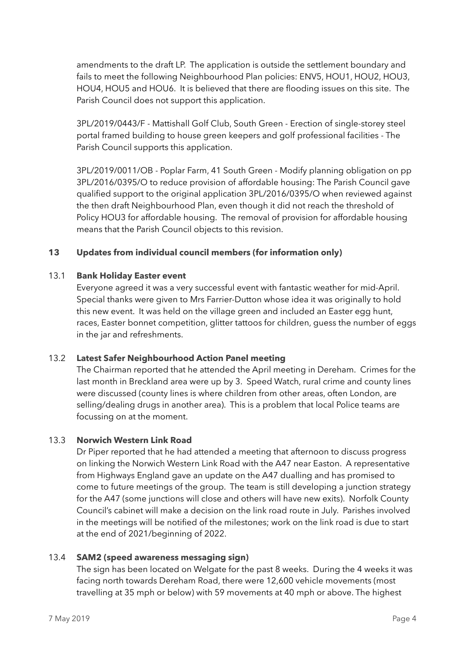amendments to the draft LP. The application is outside the settlement boundary and fails to meet the following Neighbourhood Plan policies: ENV5, HOU1, HOU2, HOU3, HOU4, HOU5 and HOU6. It is believed that there are flooding issues on this site. The Parish Council does not support this application.

3PL/2019/0443/F - Mattishall Golf Club, South Green - Erection of single-storey steel portal framed building to house green keepers and golf professional facilities - The Parish Council supports this application.

3PL/2019/0011/OB - Poplar Farm, 41 South Green - Modify planning obligation on pp 3PL/2016/0395/O to reduce provision of affordable housing: The Parish Council gave qualified support to the original application 3PL/2016/0395/O when reviewed against the then draft Neighbourhood Plan, even though it did not reach the threshold of Policy HOU3 for affordable housing. The removal of provision for affordable housing means that the Parish Council objects to this revision.

# **13 Updates from individual council members (for information only)**

# 13.1 **Bank Holiday Easter event**

Everyone agreed it was a very successful event with fantastic weather for mid-April. Special thanks were given to Mrs Farrier-Dutton whose idea it was originally to hold this new event. It was held on the village green and included an Easter egg hunt, races, Easter bonnet competition, glitter tattoos for children, guess the number of eggs in the jar and refreshments.

# 13.2 **Latest Safer Neighbourhood Action Panel meeting**

The Chairman reported that he attended the April meeting in Dereham. Crimes for the last month in Breckland area were up by 3. Speed Watch, rural crime and county lines were discussed (county lines is where children from other areas, often London, are selling/dealing drugs in another area). This is a problem that local Police teams are focussing on at the moment.

## 13.3 **Norwich Western Link Road**

Dr Piper reported that he had attended a meeting that afternoon to discuss progress on linking the Norwich Western Link Road with the A47 near Easton. A representative from Highways England gave an update on the A47 dualling and has promised to come to future meetings of the group. The team is still developing a junction strategy for the A47 (some junctions will close and others will have new exits). Norfolk County Council's cabinet will make a decision on the link road route in July. Parishes involved in the meetings will be notified of the milestones; work on the link road is due to start at the end of 2021/beginning of 2022.

# 13.4 **SAM2 (speed awareness messaging sign)**

The sign has been located on Welgate for the past 8 weeks. During the 4 weeks it was facing north towards Dereham Road, there were 12,600 vehicle movements (most travelling at 35 mph or below) with 59 movements at 40 mph or above. The highest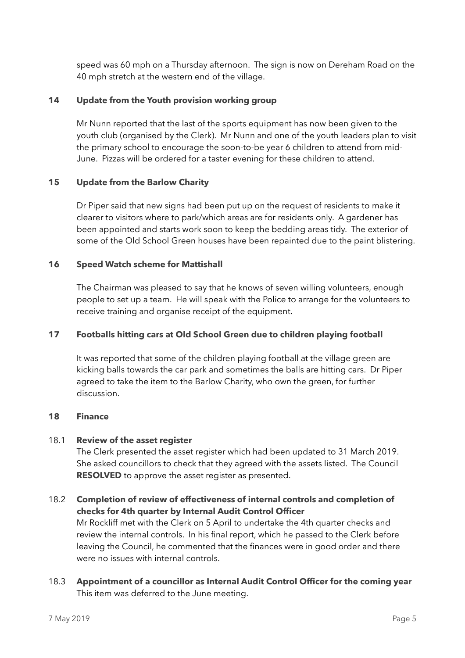speed was 60 mph on a Thursday afternoon. The sign is now on Dereham Road on the 40 mph stretch at the western end of the village.

# **14 Update from the Youth provision working group**

Mr Nunn reported that the last of the sports equipment has now been given to the youth club (organised by the Clerk). Mr Nunn and one of the youth leaders plan to visit the primary school to encourage the soon-to-be year 6 children to attend from mid-June. Pizzas will be ordered for a taster evening for these children to attend.

#### **15 Update from the Barlow Charity**

Dr Piper said that new signs had been put up on the request of residents to make it clearer to visitors where to park/which areas are for residents only. A gardener has been appointed and starts work soon to keep the bedding areas tidy. The exterior of some of the Old School Green houses have been repainted due to the paint blistering.

#### **16 Speed Watch scheme for Mattishall**

The Chairman was pleased to say that he knows of seven willing volunteers, enough people to set up a team. He will speak with the Police to arrange for the volunteers to receive training and organise receipt of the equipment.

## **17 Footballs hitting cars at Old School Green due to children playing football**

It was reported that some of the children playing football at the village green are kicking balls towards the car park and sometimes the balls are hitting cars. Dr Piper agreed to take the item to the Barlow Charity, who own the green, for further discussion.

#### **18 Finance**

## 18.1 **Review of the asset register**

The Clerk presented the asset register which had been updated to 31 March 2019. She asked councillors to check that they agreed with the assets listed. The Council **RESOLVED** to approve the asset register as presented.

# 18.2 **Completion of review of effectiveness of internal controls and completion of checks for 4th quarter by Internal Audit Control Officer**

Mr Rockliff met with the Clerk on 5 April to undertake the 4th quarter checks and review the internal controls. In his final report, which he passed to the Clerk before leaving the Council, he commented that the finances were in good order and there were no issues with internal controls.

# 18.3 **Appointment of a councillor as Internal Audit Control Officer for the coming year**  This item was deferred to the June meeting.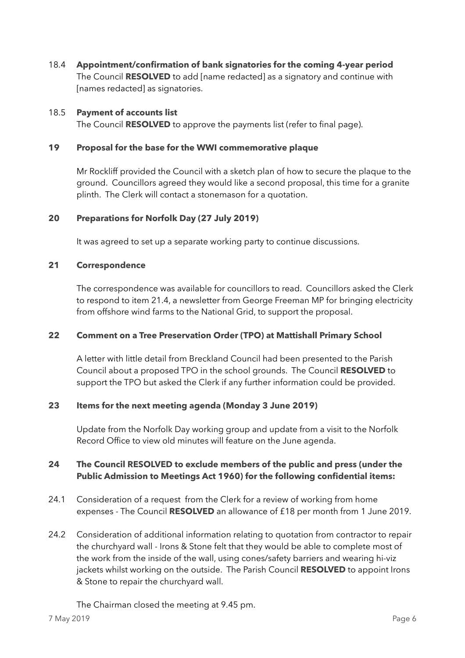18.4 **Appointment/confirmation of bank signatories for the coming 4-year period**  The Council **RESOLVED** to add [name redacted] as a signatory and continue with [names redacted] as signatories.

## 18.5 **Payment of accounts list**

The Council **RESOLVED** to approve the payments list (refer to final page).

## **19 Proposal for the base for the WWI commemorative plaque**

Mr Rockliff provided the Council with a sketch plan of how to secure the plaque to the ground. Councillors agreed they would like a second proposal, this time for a granite plinth. The Clerk will contact a stonemason for a quotation.

# **20 Preparations for Norfolk Day (27 July 2019)**

It was agreed to set up a separate working party to continue discussions.

## **21 Correspondence**

The correspondence was available for councillors to read. Councillors asked the Clerk to respond to item 21.4, a newsletter from George Freeman MP for bringing electricity from offshore wind farms to the National Grid, to support the proposal.

## **22 Comment on a Tree Preservation Order (TPO) at Mattishall Primary School**

A letter with little detail from Breckland Council had been presented to the Parish Council about a proposed TPO in the school grounds. The Council **RESOLVED** to support the TPO but asked the Clerk if any further information could be provided.

## **23 Items for the next meeting agenda (Monday 3 June 2019)**

Update from the Norfolk Day working group and update from a visit to the Norfolk Record Office to view old minutes will feature on the June agenda.

# **24 The Council RESOLVED to exclude members of the public and press (under the Public Admission to Meetings Act 1960) for the following confidential items:**

- 24.1 Consideration of a request from the Clerk for a review of working from home expenses - The Council **RESOLVED** an allowance of £18 per month from 1 June 2019.
- 24.2 Consideration of additional information relating to quotation from contractor to repair the churchyard wall - Irons & Stone felt that they would be able to complete most of the work from the inside of the wall, using cones/safety barriers and wearing hi-viz jackets whilst working on the outside. The Parish Council **RESOLVED** to appoint Irons & Stone to repair the churchyard wall.